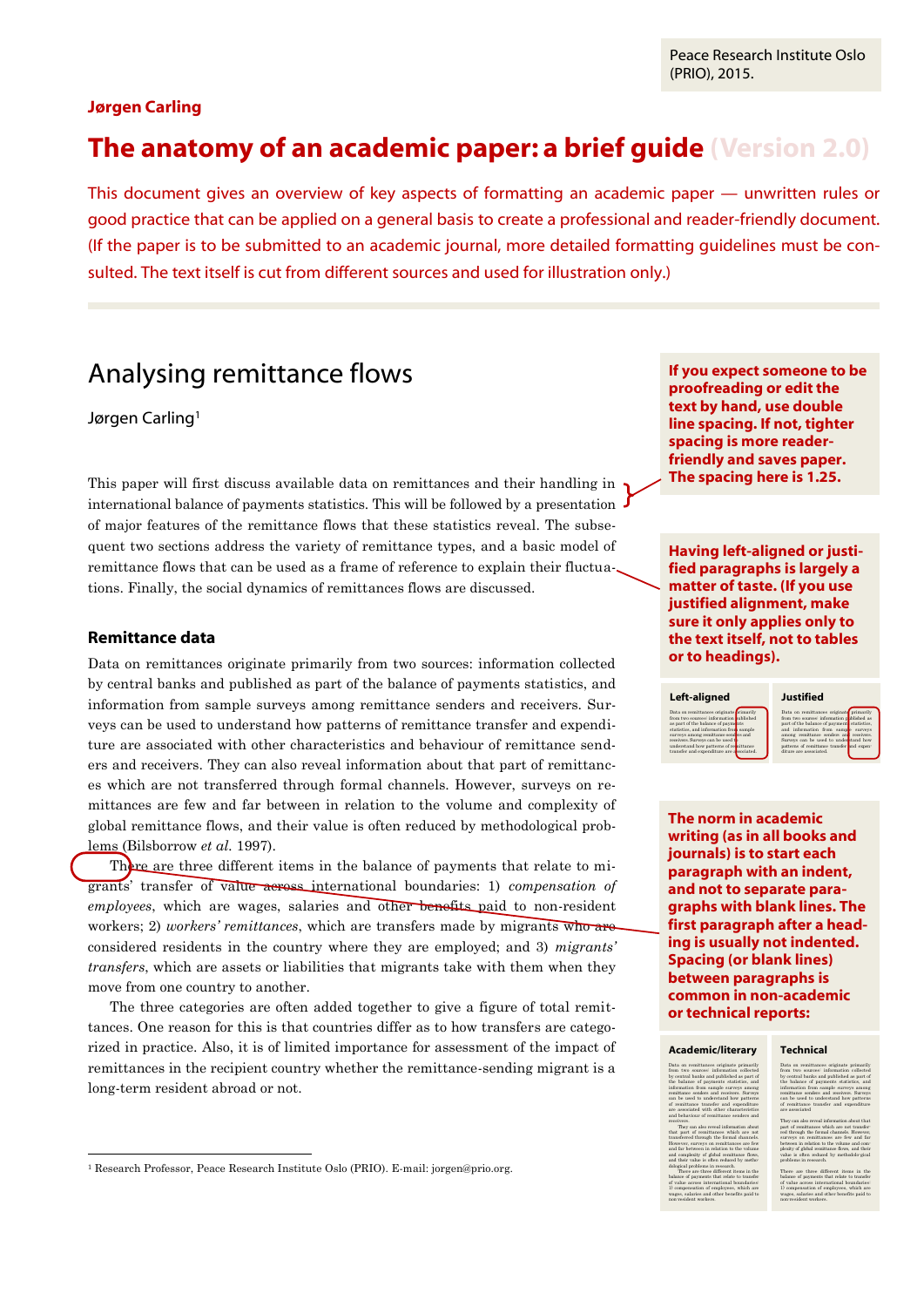Peace Research Institute Oslo (PRIO), 2015.

# **Jørgen Carling**

# **The anatomy of an academic paper: a brief guide (Version 2.0)**

This document gives an overview of key aspects of formatting an academic paper — unwritten rules or good practice that can be applied on a general basis to create a professional and reader-friendly document. (If the paper is to be submitted to an academic journal, more detailed formatting guidelines must be consulted. The text itself is cut from different sources and used for illustration only.)

# Analysing remittance flows

# Jørgen Carling<sup>1</sup>

This paper will first discuss available data on remittances and their handling in international balance of payments statistics. This will be followed by a presentation of major features of the remittance flows that these statistics reveal. The subsequent two sections address the variety of remittance types, and a basic model of remittance flows that can be used as a frame of reference to explain their fluctuations. Finally, the social dynamics of remittances flows are discussed.

# **Remittance data**

 $\overline{a}$ 

Data on remittances originate primarily from two sources: information collected by central banks and published as part of the balance of payments statistics, and information from sample surveys among remittance senders and receivers. Surveys can be used to understand how patterns of remittance transfer and expenditure are associated with other characteristics and behaviour of remittance senders and receivers. They can also reveal information about that part of remittances which are not transferred through formal channels. However, surveys on remittances are few and far between in relation to the volume and complexity of global remittance flows, and their value is often reduced by methodological problems (Bilsborrow *et al.* 1997).

There are three different items in the balance of payments that relate to migrants' transfer of value across international boundaries: 1) *compensation of employees*, which are wages, salaries and other benefits paid to non-resident workers; 2) *workers' remittances*, which are transfers made by migrants who are considered residents in the country where they are employed; and 3) *migrants' transfers*, which are assets or liabilities that migrants take with them when they move from one country to another.

The three categories are often added together to give a figure of total remittances. One reason for this is that countries differ as to how transfers are categorized in practice. Also, it is of limited importance for assessment of the impact of remittances in the recipient country whether the remittance-sending migrant is a long-term resident abroad or not.

**If you expect someone to be proofreading or edit the text by hand, use double line spacing. If not, tighter spacing is more readerfriendly and saves paper. The spacing here is 1.25.**

**Having left-aligned or justified paragraphs is largely a matter of taste. (If you use justified alignment, make sure it only applies only to the text itself, not to tables or to headings).**

### **Left-aligned**

#### Data on remittances originate primarily from two sources: information published as part of the balance of payments statistics, and information from sample surveys among remittance senders and receivers. Surveys can be used to understand how patterns of remittance

transfer and expenditure are associated

#### **Justified**

Data on remittances originate primarily from two sources: information published as part of the balance of payments statistics, and information from sample surveys among remittance senders and receivers. Surveys can be used to understand how patterns of remittance transfer and expenditure are associated.

**The norm in academic writing (as in all books and journals) is to start each paragraph with an indent, and not to separate paragraphs with blank lines. The first paragraph after a heading is usually not indented. Spacing (or blank lines) between paragraphs is common in non-academic or technical reports:**

### **Academic/literary**

#### Data on remittances originate primarily from two sources: information collected by central banks and published as part of the balance of payments statistics, and information from sample surveys among remittance senders and receivers. Surveys can be used to understand how patterns of remittance transfer and expenditure are associated with other characteristics and behaviour of remittance senders and

They can also reveal information about that part of remittances which are not transferred through the formal channels. However, surveys on remittances are few and far between in relation to the volume xity of global and their value is often reduced by methodological problems in research. There are three different items in the balance of payments that relate to transfer of value across international boundaries: 1) compensation of employees, which are wages, salaries and other benefits paid to non-resident workers.

receivers.

They can also reveal information about that part of remittances which are not transferred through the formal channels. However, surveys on remittances are few and far between in relation to the volume and complexity of global remittance flows, and their value is often reduced by methodolo-gical problems in research.

**Technical** Data on remittances originate primarily from two sources: information collected by central banks and published as part of the balance of payments statistics, and information from sample surveys among remittance senders and receivers. Surveys can be used to understand how patterns of remittance transfer and expenditure are associated

There are three different items in the balance of payments that relate to transfer of value across international boundaries: 1) compensation of employees, which are wages, salaries and other benefits paid to non-resident workers.

<sup>1</sup> Research Professor, Peace Research Institute Oslo (PRIO). E-mail: jorgen@prio.org.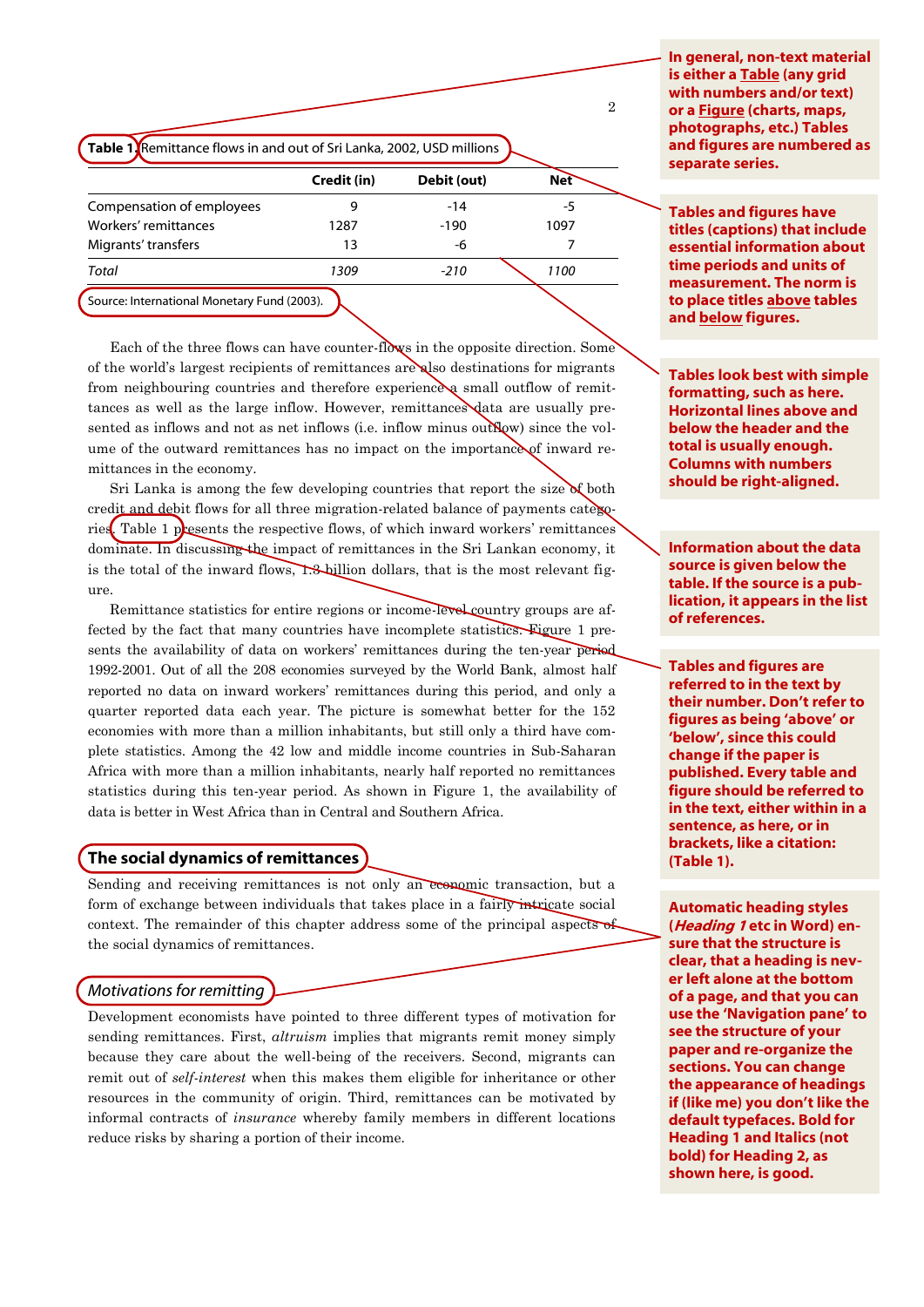**Table 1.** Remittance flows in and out of Sri Lanka, 2002, USD millions

|                                             | Credit (in) | Debit (out) | <b>Net</b> |
|---------------------------------------------|-------------|-------------|------------|
| Compensation of employees                   |             | $-14$       | -5         |
| Workers' remittances                        | 1287        | $-190$      | 1097       |
| Migrants' transfers                         | 13          | -6          |            |
| Total                                       | 1309        | $-210$      | 1100       |
| Source: International Monetary Fund (2003). |             |             |            |

Each of the three flows can have counter-flows in the opposite direction. Some of the world's largest recipients of remittances are also destinations for migrants from neighbouring countries and therefore experience a small outflow of remittances as well as the large inflow. However, remittances data are usually presented as inflows and not as net inflows (i.e. inflow minus outflow) since the volume of the outward remittances has no impact on the importance of inward remittances in the economy.

Sri Lanka is among the few developing countries that report the size  $\delta$  both credit and debit flows for all three migration-related balance of payments categories. Table 1 presents the respective flows, of which inward workers' remittances dominate. In discussing the impact of remittances in the Sri Lankan economy, it is the total of the inward flows,  $\mathbf{1.3}$ -billion dollars, that is the most relevant figure.

Remittance statistics for entire regions or income-level country groups are affected by the fact that many countries have incomplete statistics. Figure 1 presents the availability of data on workers' remittances during the ten-year period 1992-2001. Out of all the 208 economies surveyed by the World Bank, almost half reported no data on inward workers' remittances during this period, and only a quarter reported data each year. The picture is somewhat better for the 152 economies with more than a million inhabitants, but still only a third have complete statistics. Among the 42 low and middle income countries in Sub-Saharan Africa with more than a million inhabitants, nearly half reported no remittances statistics during this ten-year period. As shown in Figure 1, the availability of data is better in West Africa than in Central and Southern Africa.

# **The social dynamics of remittances**

Sending and receiving remittances is not only an economic transaction, but a form of exchange between individuals that takes place in a fairly intricate social context. The remainder of this chapter address some of the principal aspects of the social dynamics of remittances.

# *Motivations for remitting*

Development economists have pointed to three different types of motivation for sending remittances. First, *altruism* implies that migrants remit money simply because they care about the well-being of the receivers. Second, migrants can remit out of *self-interest* when this makes them eligible for inheritance or other resources in the community of origin. Third, remittances can be motivated by informal contracts of *insurance* whereby family members in different locations reduce risks by sharing a portion of their income.

**In general, non-text material is either a Table (any grid with numbers and/or text) or a Figure (charts, maps, photographs, etc.) Tables and figures are numbered as separate series.**

 $\Omega$ 

**Tables and figures have titles (captions) that include essential information about time periods and units of measurement. The norm is to place titles above tables and below figures.**

**Tables look best with simple formatting, such as here. Horizontal lines above and below the header and the total is usually enough. Columns with numbers should be right-aligned.**

**Information about the data source is given below the table. If the source is a publication, it appears in the list of references.**

**Tables and figures are referred to in the text by their number. Don't refer to figures as being 'above' or 'below', since this could change if the paper is published. Every table and figure should be referred to in the text, either within in a sentence, as here, or in brackets, like a citation: (Table 1).**

**Automatic heading styles (Heading 1 etc in Word) ensure that the structure is clear, that a heading is never left alone at the bottom of a page, and that you can use the 'Navigation pane' to see the structure of your paper and re-organize the sections. You can change the appearance of headings if (like me) you don't like the default typefaces. Bold for Heading 1 and Italics (not bold) for Heading 2, as shown here, is good.**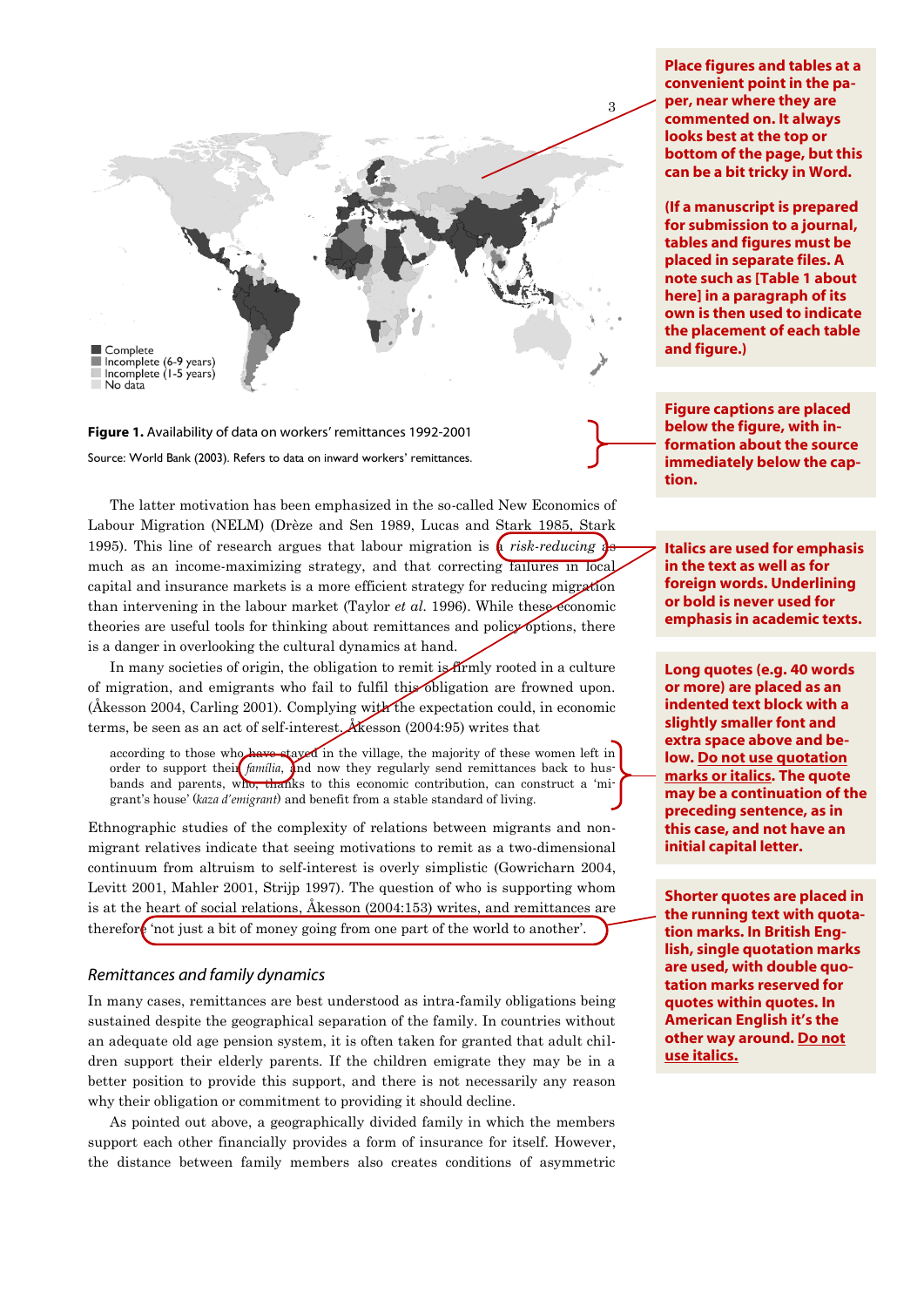

**Figure 1.** Availability of data on workers' remittances 1992-2001 Source: World Bank (2003). Refers to data on inward workers' remittances.

The latter motivation has been emphasized in the so-called New Economics of Labour Migration (NELM) (Drèze and Sen 1989, Lucas and Stark 1985, Stark 1995). This line of research argues that labour migration is  $\alpha$  *risk-reducing*  $\alpha$ much as an income-maximizing strategy, and that correcting failures in local capital and insurance markets is a more efficient strategy for reducing migration than intervening in the labour market (Taylor *et al.* 1996). While these economic theories are useful tools for thinking about remittances and policy options, there is a danger in overlooking the cultural dynamics at hand.

In many societies of origin, the obligation to remit is firmly rooted in a culture of migration, and emigrants who fail to fulfil this obligation are frowned upon. (Åkesson 2004, Carling 2001). Complying with the expectation could, in economic terms, be seen as an act of self-interest. Åkesson (2004:95) writes that

according to those who have stayed in the village, the majority of these women left in order to support their *família*, and now they regularly send remittances back to husbands and parents, who, thanks to this economic contribution, can construct a 'migrant's house' (*kaza d'emigrant*) and benefit from a stable standard of living.

Ethnographic studies of the complexity of relations between migrants and nonmigrant relatives indicate that seeing motivations to remit as a two-dimensional continuum from altruism to self-interest is overly simplistic (Gowricharn 2004, Levitt 2001, Mahler 2001, Strijp 1997). The question of who is supporting whom is at the heart of social relations, Åkesson (2004:153) writes, and remittances are therefore 'not just a bit of money going from one part of the world to another'.

## *Remittances and family dynamics*

In many cases, remittances are best understood as intra-family obligations being sustained despite the geographical separation of the family. In countries without an adequate old age pension system, it is often taken for granted that adult children support their elderly parents. If the children emigrate they may be in a better position to provide this support, and there is not necessarily any reason why their obligation or commitment to providing it should decline.

As pointed out above, a geographically divided family in which the members support each other financially provides a form of insurance for itself. However, the distance between family members also creates conditions of asymmetric

**Place figures and tables at a convenient point in the paper, near where they are commented on. It always looks best at the top or bottom of the page, but this can be a bit tricky in Word.**

**(If a manuscript is prepared for submission to a journal, tables and figures must be placed in separate files. A note such as [Table 1 about here] in a paragraph of its own is then used to indicate the placement of each table and figure.)**

**Figure captions are placed below the figure, with information about the source immediately below the caption.**

**Italics are used for emphasis in the text as well as for foreign words. Underlining or bold is never used for emphasis in academic texts.**

**Long quotes (e.g. 40 words or more) are placed as an indented text block with a slightly smaller font and extra space above and below. Do not use quotation marks or italics. The quote may be a continuation of the preceding sentence, as in this case, and not have an initial capital letter.**

**Shorter quotes are placed in the running text with quotation marks. In British English, single quotation marks are used, with double quotation marks reserved for quotes within quotes. In American English it's the other way around. Do not use italics.**